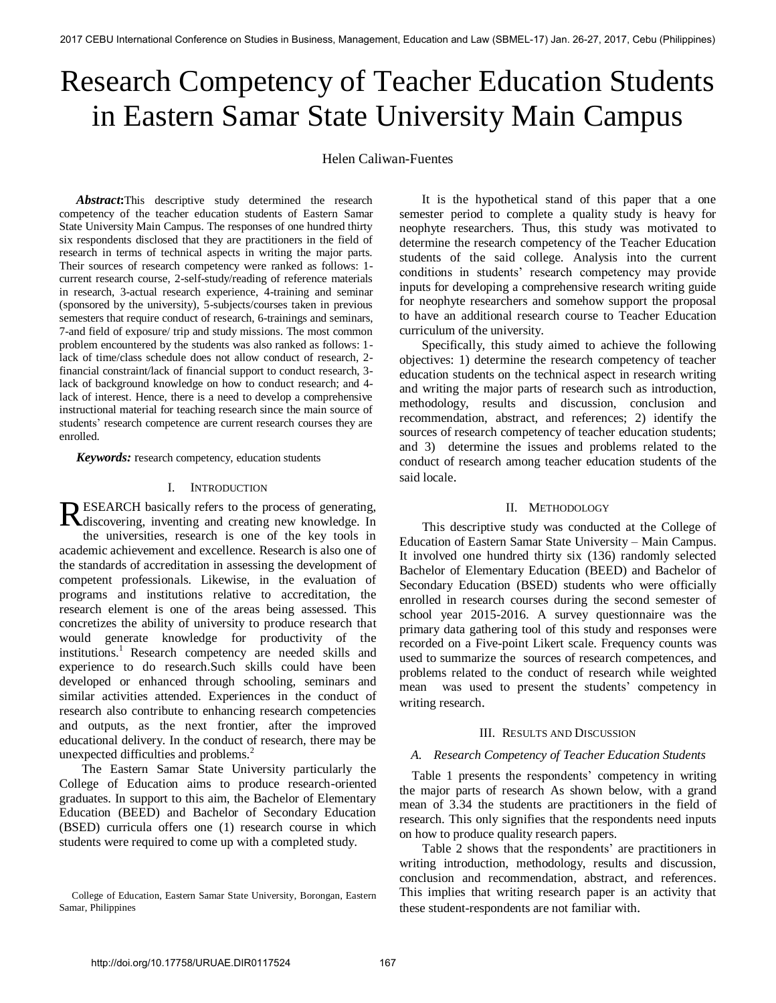# Research Competency of Teacher Education Students in Eastern Samar State University Main Campus

Helen Caliwan-Fuentes

Abstract: This descriptive study determined the research competency of the teacher education students of Eastern Samar State University Main Campus. The responses of one hundred thirty six respondents disclosed that they are practitioners in the field of research in terms of technical aspects in writing the major parts. Their sources of research competency were ranked as follows: 1 current research course, 2-self-study/reading of reference materials in research, 3-actual research experience, 4-training and seminar (sponsored by the university), 5-subjects/courses taken in previous semesters that require conduct of research, 6-trainings and seminars, 7-and field of exposure/ trip and study missions. The most common problem encountered by the students was also ranked as follows: 1 lack of time/class schedule does not allow conduct of research, 2 financial constraint/lack of financial support to conduct research, 3 lack of background knowledge on how to conduct research; and 4 lack of interest. Hence, there is a need to develop a comprehensive instructional material for teaching research since the main source of students' research competence are current research courses they are enrolled.

*Keywords:* research competency, education students

## I. INTRODUCTION

ESEARCH basically refers to the process of generating, RESEARCH basically refers to the process of generating, discovering, inventing and creating new knowledge. In the universities, research is one of the key tools in academic achievement and excellence. Research is also one of the standards of accreditation in assessing the development of competent professionals. Likewise, in the evaluation of programs and institutions relative to accreditation, the research element is one of the areas being assessed. This concretizes the ability of university to produce research that would generate knowledge for productivity of the institutions.<sup>1</sup> Research competency are needed skills and experience to do research.Such skills could have been developed or enhanced through schooling, seminars and similar activities attended. Experiences in the conduct of research also contribute to enhancing research competencies and outputs, as the next frontier, after the improved educational delivery. In the conduct of research, there may be unexpected difficulties and problems.<sup>2</sup>

The Eastern Samar State University particularly the College of Education aims to produce research-oriented graduates. In support to this aim, the Bachelor of Elementary Education (BEED) and Bachelor of Secondary Education (BSED) curricula offers one (1) research course in which students were required to come up with a completed study.

It is the hypothetical stand of this paper that a one semester period to complete a quality study is heavy for neophyte researchers. Thus, this study was motivated to determine the research competency of the Teacher Education students of the said college. Analysis into the current conditions in students' research competency may provide inputs for developing a comprehensive research writing guide for neophyte researchers and somehow support the proposal to have an additional research course to Teacher Education curriculum of the university.

Specifically, this study aimed to achieve the following objectives: 1) determine the research competency of teacher education students on the technical aspect in research writing and writing the major parts of research such as introduction, methodology, results and discussion, conclusion and recommendation, abstract, and references; 2) identify the sources of research competency of teacher education students; and 3) determine the issues and problems related to the conduct of research among teacher education students of the said locale.

## II. METHODOLOGY

This descriptive study was conducted at the College of Education of Eastern Samar State University – Main Campus. It involved one hundred thirty six (136) randomly selected Bachelor of Elementary Education (BEED) and Bachelor of Secondary Education (BSED) students who were officially enrolled in research courses during the second semester of school year 2015-2016. A survey questionnaire was the primary data gathering tool of this study and responses were recorded on a Five-point Likert scale. Frequency counts was used to summarize the sources of research competences, and problems related to the conduct of research while weighted mean was used to present the students' competency in writing research.

#### III. RESULTS AND DISCUSSION

# *A. Research Competency of Teacher Education Students*

 Table 1 presents the respondents' competency in writing the major parts of research As shown below, with a grand mean of 3.34 the students are practitioners in the field of research. This only signifies that the respondents need inputs on how to produce quality research papers.

Table 2 shows that the respondents' are practitioners in writing introduction, methodology, results and discussion, conclusion and recommendation, abstract, and references. This implies that writing research paper is an activity that these student-respondents are not familiar with.

College of Education, Eastern Samar State University, Borongan, Eastern Samar, Philippines